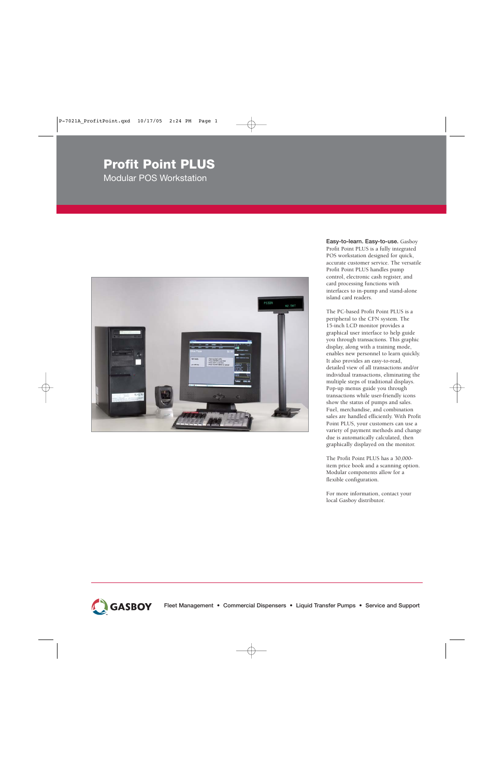# **Profit Point PLUS**

Modular POS Workstation



**Easy-to-learn. Easy-to-use.** Gasboy Profit Point PLUS is a fully integrated POS workstation designed for quick, accurate customer service. The versatile Profit Point PLUS handles pump control, electronic cash register, and card processing functions with interfaces to in-pump and stand-alone island card readers.

The PC-based Profit Point PLUS is a peripheral to the CFN system. The 15-inch LCD monitor provides a graphical user interface to help guide you through transactions. This graphic display, along with a training mode, enables new personnel to learn quickly. It also provides an easy-to-read, detailed view of all transactions and/or individual transactions, eliminating the multiple steps of traditional displays. Pop-up menus guide you through transactions while user-friendly icons show the status of pumps and sales. Fuel, merchandise, and combination sales are handled efficiently. With Profit Point PLUS, your customers can use a variety of payment methods and change due is automatically calculated, then graphically displayed on the monitor.

The Profit Point PLUS has a 30,000 item price book and a scanning option. Modular components allow for a flexible configuration.

For more information, contact your local Gasboy distributor.